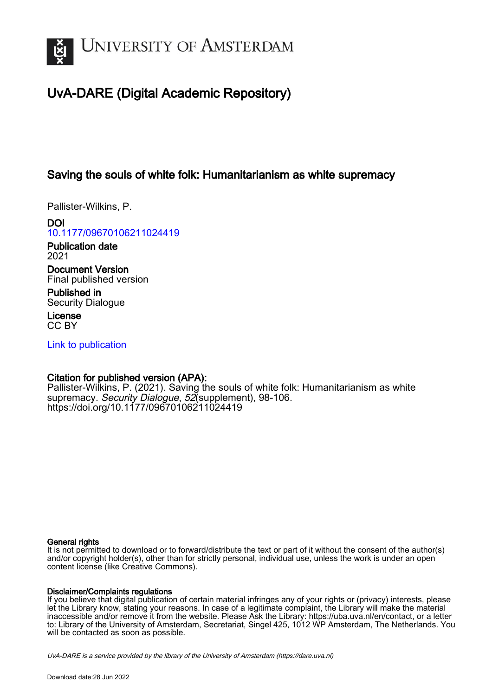

# UvA-DARE (Digital Academic Repository)

# Saving the souls of white folk: Humanitarianism as white supremacy

Pallister-Wilkins, P.

DOI [10.1177/09670106211024419](https://doi.org/10.1177/09670106211024419)

Publication date 2021

Document Version Final published version

Published in Security Dialogue

License CC BY

[Link to publication](https://dare.uva.nl/personal/pure/en/publications/saving-the-souls-of-white-folk-humanitarianism-as-white-supremacy(decd3c71-b3b9-4c9b-96a2-5532dd681e3c).html)

## Citation for published version (APA):

Pallister-Wilkins, P. (2021). Saving the souls of white folk: Humanitarianism as white supremacy. Security Dialogue, 52 (supplement), 98-106. <https://doi.org/10.1177/09670106211024419>

### General rights

It is not permitted to download or to forward/distribute the text or part of it without the consent of the author(s) and/or copyright holder(s), other than for strictly personal, individual use, unless the work is under an open content license (like Creative Commons).

### Disclaimer/Complaints regulations

If you believe that digital publication of certain material infringes any of your rights or (privacy) interests, please let the Library know, stating your reasons. In case of a legitimate complaint, the Library will make the material inaccessible and/or remove it from the website. Please Ask the Library: https://uba.uva.nl/en/contact, or a letter to: Library of the University of Amsterdam, Secretariat, Singel 425, 1012 WP Amsterdam, The Netherlands. You will be contacted as soon as possible.

UvA-DARE is a service provided by the library of the University of Amsterdam (http*s*://dare.uva.nl)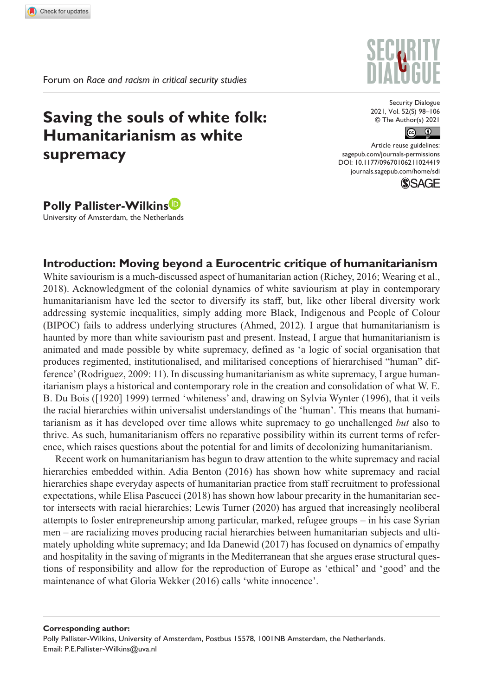# **Saving the souls of white folk: Humanitarianism as white supremacy**

Security Dialogue 2021, Vol. 52(S) 98–106 © The Author(s) 2021



https://doi.org/10.1177/09670106211024419 Article reuse guidelines: [sagepub.com/journals-permissions](https://uk.sagepub.com/en-gb/journals-permissions) [journals.sagepub.com/home/sdi](https://journals.sagepub.com/home/sdi)



**Polly Pallister-Wilkins** University of Amsterdam, the Netherlands

## **Introduction: Moving beyond a Eurocentric critique of humanitarianism**

White saviourism is a much-discussed aspect of humanitarian action (Richey, 2016; Wearing et al., 2018). Acknowledgment of the colonial dynamics of white saviourism at play in contemporary humanitarianism have led the sector to diversify its staff, but, like other liberal diversity work addressing systemic inequalities, simply adding more Black, Indigenous and People of Colour (BIPOC) fails to address underlying structures (Ahmed, 2012). I argue that humanitarianism is haunted by more than white saviourism past and present. Instead, I argue that humanitarianism is animated and made possible by white supremacy, defined as 'a logic of social organisation that produces regimented, institutionalised, and militarised conceptions of hierarchised "human" difference' (Rodriguez, 2009: 11). In discussing humanitarianism as white supremacy, I argue humanitarianism plays a historical and contemporary role in the creation and consolidation of what W. E. B. Du Bois ([1920] 1999) termed 'whiteness' and, drawing on Sylvia Wynter (1996), that it veils the racial hierarchies within universalist understandings of the 'human'. This means that humanitarianism as it has developed over time allows white supremacy to go unchallenged *but* also to thrive. As such, humanitarianism offers no reparative possibility within its current terms of reference, which raises questions about the potential for and limits of decolonizing humanitarianism.

Recent work on humanitarianism has begun to draw attention to the white supremacy and racial hierarchies embedded within. Adia Benton (2016) has shown how white supremacy and racial hierarchies shape everyday aspects of humanitarian practice from staff recruitment to professional expectations, while Elisa Pascucci (2018) has shown how labour precarity in the humanitarian sector intersects with racial hierarchies; Lewis Turner (2020) has argued that increasingly neoliberal attempts to foster entrepreneurship among particular, marked, refugee groups – in his case Syrian men – are racializing moves producing racial hierarchies between humanitarian subjects and ultimately upholding white supremacy; and Ida Danewid (2017) has focused on dynamics of empathy and hospitality in the saving of migrants in the Mediterranean that she argues erase structural questions of responsibility and allow for the reproduction of Europe as 'ethical' and 'good' and the maintenance of what Gloria Wekker (2016) calls 'white innocence'.

**Corresponding author:** Polly Pallister-Wilkins, University of Amsterdam, Postbus 15578, 1001NB Amsterdam, the Netherlands. Email: [P.E.Pallister-Wilkins@uva.nl](mailto:P.E.Pallister-Wilkins@uva.nl)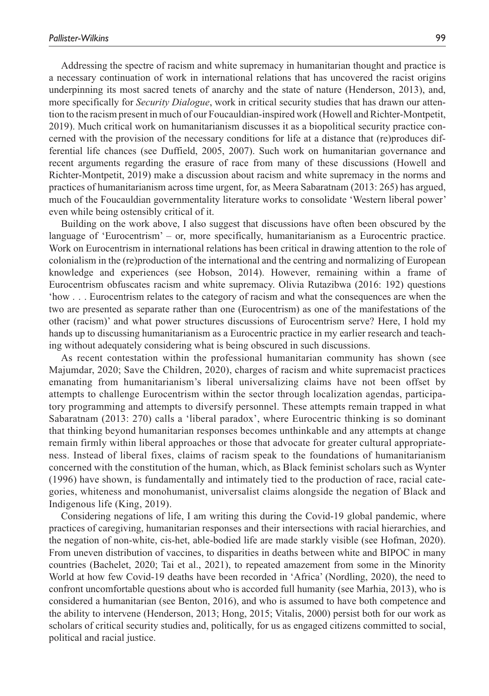Addressing the spectre of racism and white supremacy in humanitarian thought and practice is a necessary continuation of work in international relations that has uncovered the racist origins underpinning its most sacred tenets of anarchy and the state of nature (Henderson, 2013), and, more specifically for *Security Dialogue*, work in critical security studies that has drawn our attention to the racism present in much of our Foucauldian-inspired work (Howell and Richter-Montpetit, 2019). Much critical work on humanitarianism discusses it as a biopolitical security practice concerned with the provision of the necessary conditions for life at a distance that (re)produces differential life chances (see Duffield, 2005, 2007). Such work on humanitarian governance and recent arguments regarding the erasure of race from many of these discussions (Howell and Richter-Montpetit, 2019) make a discussion about racism and white supremacy in the norms and practices of humanitarianism across time urgent, for, as Meera Sabaratnam (2013: 265) has argued, much of the Foucauldian governmentality literature works to consolidate 'Western liberal power' even while being ostensibly critical of it.

Building on the work above, I also suggest that discussions have often been obscured by the language of 'Eurocentrism' – or, more specifically, humanitarianism as a Eurocentric practice. Work on Eurocentrism in international relations has been critical in drawing attention to the role of colonialism in the (re)production of the international and the centring and normalizing of European knowledge and experiences (see Hobson, 2014). However, remaining within a frame of Eurocentrism obfuscates racism and white supremacy. Olivia Rutazibwa (2016: 192) questions 'how . . . Eurocentrism relates to the category of racism and what the consequences are when the two are presented as separate rather than one (Eurocentrism) as one of the manifestations of the other (racism)' and what power structures discussions of Eurocentrism serve? Here, I hold my hands up to discussing humanitarianism as a Eurocentric practice in my earlier research and teaching without adequately considering what is being obscured in such discussions.

As recent contestation within the professional humanitarian community has shown (see Majumdar, 2020; Save the Children, 2020), charges of racism and white supremacist practices emanating from humanitarianism's liberal universalizing claims have not been offset by attempts to challenge Eurocentrism within the sector through localization agendas, participatory programming and attempts to diversify personnel. These attempts remain trapped in what Sabaratnam (2013: 270) calls a 'liberal paradox', where Eurocentric thinking is so dominant that thinking beyond humanitarian responses becomes unthinkable and any attempts at change remain firmly within liberal approaches or those that advocate for greater cultural appropriateness. Instead of liberal fixes, claims of racism speak to the foundations of humanitarianism concerned with the constitution of the human, which, as Black feminist scholars such as Wynter (1996) have shown, is fundamentally and intimately tied to the production of race, racial categories, whiteness and monohumanist, universalist claims alongside the negation of Black and Indigenous life (King, 2019).

Considering negations of life, I am writing this during the Covid-19 global pandemic, where practices of caregiving, humanitarian responses and their intersections with racial hierarchies, and the negation of non-white, cis-het, able-bodied life are made starkly visible (see Hofman, 2020). From uneven distribution of vaccines, to disparities in deaths between white and BIPOC in many countries (Bachelet, 2020; Tai et al., 2021), to repeated amazement from some in the Minority World at how few Covid-19 deaths have been recorded in 'Africa' (Nordling, 2020), the need to confront uncomfortable questions about who is accorded full humanity (see Marhia, 2013), who is considered a humanitarian (see Benton, 2016), and who is assumed to have both competence and the ability to intervene (Henderson, 2013; Hong, 2015; Vitalis, 2000) persist both for our work as scholars of critical security studies and, politically, for us as engaged citizens committed to social, political and racial justice.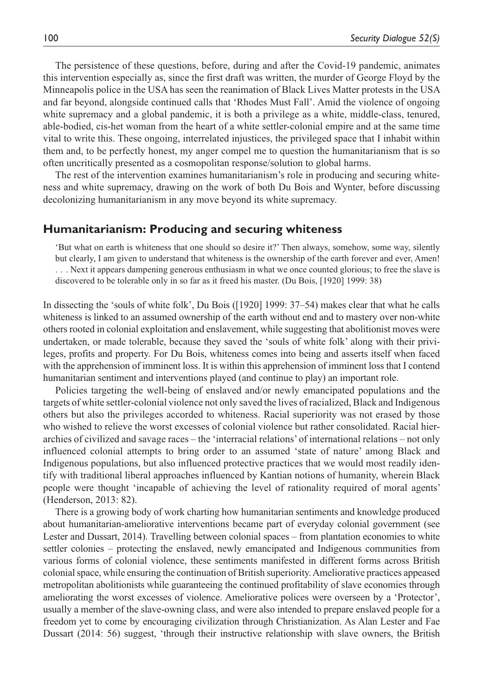The persistence of these questions, before, during and after the Covid-19 pandemic, animates this intervention especially as, since the first draft was written, the murder of George Floyd by the Minneapolis police in the USA has seen the reanimation of Black Lives Matter protests in the USA and far beyond, alongside continued calls that 'Rhodes Must Fall'. Amid the violence of ongoing white supremacy and a global pandemic, it is both a privilege as a white, middle-class, tenured, able-bodied, cis-het woman from the heart of a white settler-colonial empire and at the same time vital to write this. These ongoing, interrelated injustices, the privileged space that I inhabit within them and, to be perfectly honest, my anger compel me to question the humanitarianism that is so often uncritically presented as a cosmopolitan response/solution to global harms.

The rest of the intervention examines humanitarianism's role in producing and securing whiteness and white supremacy, drawing on the work of both Du Bois and Wynter, before discussing decolonizing humanitarianism in any move beyond its white supremacy.

#### **Humanitarianism: Producing and securing whiteness**

'But what on earth is whiteness that one should so desire it?' Then always, somehow, some way, silently but clearly, I am given to understand that whiteness is the ownership of the earth forever and ever, Amen! . . . Next it appears dampening generous enthusiasm in what we once counted glorious; to free the slave is discovered to be tolerable only in so far as it freed his master. (Du Bois, [1920] 1999: 38)

In dissecting the 'souls of white folk', Du Bois ([1920] 1999: 37–54) makes clear that what he calls whiteness is linked to an assumed ownership of the earth without end and to mastery over non-white others rooted in colonial exploitation and enslavement, while suggesting that abolitionist moves were undertaken, or made tolerable, because they saved the 'souls of white folk' along with their privileges, profits and property. For Du Bois, whiteness comes into being and asserts itself when faced with the apprehension of imminent loss. It is within this apprehension of imminent loss that I contend humanitarian sentiment and interventions played (and continue to play) an important role.

Policies targeting the well-being of enslaved and/or newly emancipated populations and the targets of white settler-colonial violence not only saved the lives of racialized, Black and Indigenous others but also the privileges accorded to whiteness. Racial superiority was not erased by those who wished to relieve the worst excesses of colonial violence but rather consolidated. Racial hierarchies of civilized and savage races – the 'interracial relations' of international relations – not only influenced colonial attempts to bring order to an assumed 'state of nature' among Black and Indigenous populations, but also influenced protective practices that we would most readily identify with traditional liberal approaches influenced by Kantian notions of humanity, wherein Black people were thought 'incapable of achieving the level of rationality required of moral agents' (Henderson, 2013: 82).

There is a growing body of work charting how humanitarian sentiments and knowledge produced about humanitarian-ameliorative interventions became part of everyday colonial government (see Lester and Dussart, 2014). Travelling between colonial spaces – from plantation economies to white settler colonies – protecting the enslaved, newly emancipated and Indigenous communities from various forms of colonial violence, these sentiments manifested in different forms across British colonial space, while ensuring the continuation of British superiority. Ameliorative practices appeased metropolitan abolitionists while guaranteeing the continued profitability of slave economies through ameliorating the worst excesses of violence. Ameliorative polices were overseen by a 'Protector', usually a member of the slave-owning class, and were also intended to prepare enslaved people for a freedom yet to come by encouraging civilization through Christianization. As Alan Lester and Fae Dussart (2014: 56) suggest, 'through their instructive relationship with slave owners, the British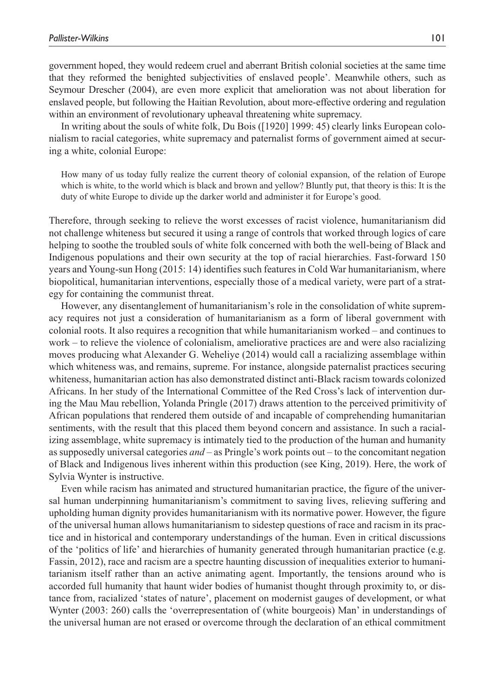government hoped, they would redeem cruel and aberrant British colonial societies at the same time that they reformed the benighted subjectivities of enslaved people'. Meanwhile others, such as Seymour Drescher (2004), are even more explicit that amelioration was not about liberation for enslaved people, but following the Haitian Revolution, about more-effective ordering and regulation within an environment of revolutionary upheaval threatening white supremacy.

In writing about the souls of white folk, Du Bois ([1920] 1999: 45) clearly links European colonialism to racial categories, white supremacy and paternalist forms of government aimed at securing a white, colonial Europe:

How many of us today fully realize the current theory of colonial expansion, of the relation of Europe which is white, to the world which is black and brown and yellow? Bluntly put, that theory is this: It is the duty of white Europe to divide up the darker world and administer it for Europe's good.

Therefore, through seeking to relieve the worst excesses of racist violence, humanitarianism did not challenge whiteness but secured it using a range of controls that worked through logics of care helping to soothe the troubled souls of white folk concerned with both the well-being of Black and Indigenous populations and their own security at the top of racial hierarchies. Fast-forward 150 years and Young-sun Hong (2015: 14) identifies such features in Cold War humanitarianism, where biopolitical, humanitarian interventions, especially those of a medical variety, were part of a strategy for containing the communist threat.

However, any disentanglement of humanitarianism's role in the consolidation of white supremacy requires not just a consideration of humanitarianism as a form of liberal government with colonial roots. It also requires a recognition that while humanitarianism worked – and continues to work – to relieve the violence of colonialism, ameliorative practices are and were also racializing moves producing what Alexander G. Weheliye (2014) would call a racializing assemblage within which whiteness was, and remains, supreme. For instance, alongside paternalist practices securing whiteness, humanitarian action has also demonstrated distinct anti-Black racism towards colonized Africans. In her study of the International Committee of the Red Cross's lack of intervention during the Mau Mau rebellion, Yolanda Pringle (2017) draws attention to the perceived primitivity of African populations that rendered them outside of and incapable of comprehending humanitarian sentiments, with the result that this placed them beyond concern and assistance. In such a racializing assemblage, white supremacy is intimately tied to the production of the human and humanity as supposedly universal categories *and* – as Pringle's work points out – to the concomitant negation of Black and Indigenous lives inherent within this production (see King, 2019). Here, the work of Sylvia Wynter is instructive.

Even while racism has animated and structured humanitarian practice, the figure of the universal human underpinning humanitarianism's commitment to saving lives, relieving suffering and upholding human dignity provides humanitarianism with its normative power. However, the figure of the universal human allows humanitarianism to sidestep questions of race and racism in its practice and in historical and contemporary understandings of the human. Even in critical discussions of the 'politics of life' and hierarchies of humanity generated through humanitarian practice (e.g. Fassin, 2012), race and racism are a spectre haunting discussion of inequalities exterior to humanitarianism itself rather than an active animating agent. Importantly, the tensions around who is accorded full humanity that haunt wider bodies of humanist thought through proximity to, or distance from, racialized 'states of nature', placement on modernist gauges of development, or what Wynter (2003: 260) calls the 'overrepresentation of (white bourgeois) Man' in understandings of the universal human are not erased or overcome through the declaration of an ethical commitment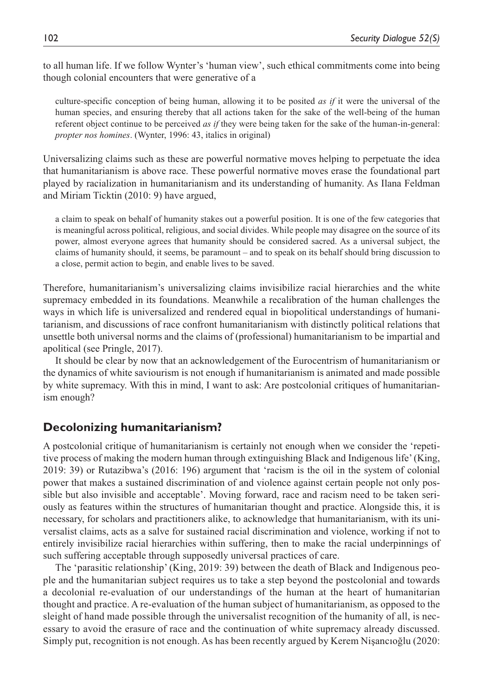to all human life. If we follow Wynter's 'human view', such ethical commitments come into being though colonial encounters that were generative of a

culture-specific conception of being human, allowing it to be posited *as if* it were the universal of the human species, and ensuring thereby that all actions taken for the sake of the well-being of the human referent object continue to be perceived *as if* they were being taken for the sake of the human-in-general: *propter nos homines*. (Wynter, 1996: 43, italics in original)

Universalizing claims such as these are powerful normative moves helping to perpetuate the idea that humanitarianism is above race. These powerful normative moves erase the foundational part played by racialization in humanitarianism and its understanding of humanity. As Ilana Feldman and Miriam Ticktin (2010: 9) have argued,

a claim to speak on behalf of humanity stakes out a powerful position. It is one of the few categories that is meaningful across political, religious, and social divides. While people may disagree on the source of its power, almost everyone agrees that humanity should be considered sacred. As a universal subject, the claims of humanity should, it seems, be paramount – and to speak on its behalf should bring discussion to a close, permit action to begin, and enable lives to be saved.

Therefore, humanitarianism's universalizing claims invisibilize racial hierarchies and the white supremacy embedded in its foundations. Meanwhile a recalibration of the human challenges the ways in which life is universalized and rendered equal in biopolitical understandings of humanitarianism, and discussions of race confront humanitarianism with distinctly political relations that unsettle both universal norms and the claims of (professional) humanitarianism to be impartial and apolitical (see Pringle, 2017).

It should be clear by now that an acknowledgement of the Eurocentrism of humanitarianism or the dynamics of white saviourism is not enough if humanitarianism is animated and made possible by white supremacy. With this in mind, I want to ask: Are postcolonial critiques of humanitarianism enough?

#### **Decolonizing humanitarianism?**

A postcolonial critique of humanitarianism is certainly not enough when we consider the 'repetitive process of making the modern human through extinguishing Black and Indigenous life' (King, 2019: 39) or Rutazibwa's (2016: 196) argument that 'racism is the oil in the system of colonial power that makes a sustained discrimination of and violence against certain people not only possible but also invisible and acceptable'. Moving forward, race and racism need to be taken seriously as features within the structures of humanitarian thought and practice. Alongside this, it is necessary, for scholars and practitioners alike, to acknowledge that humanitarianism, with its universalist claims, acts as a salve for sustained racial discrimination and violence, working if not to entirely invisibilize racial hierarchies within suffering, then to make the racial underpinnings of such suffering acceptable through supposedly universal practices of care.

The 'parasitic relationship' (King, 2019: 39) between the death of Black and Indigenous people and the humanitarian subject requires us to take a step beyond the postcolonial and towards a decolonial re-evaluation of our understandings of the human at the heart of humanitarian thought and practice. A re-evaluation of the human subject of humanitarianism, as opposed to the sleight of hand made possible through the universalist recognition of the humanity of all, is necessary to avoid the erasure of race and the continuation of white supremacy already discussed. Simply put, recognition is not enough. As has been recently argued by Kerem Nişancıoğlu (2020: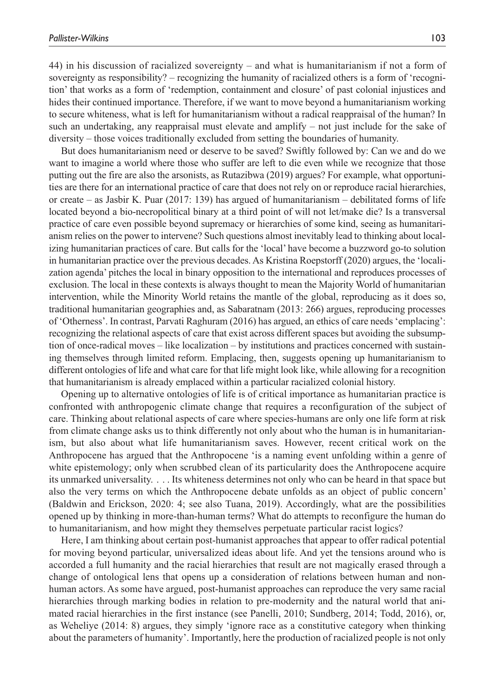44) in his discussion of racialized sovereignty – and what is humanitarianism if not a form of sovereignty as responsibility? – recognizing the humanity of racialized others is a form of 'recognition' that works as a form of 'redemption, containment and closure' of past colonial injustices and hides their continued importance. Therefore, if we want to move beyond a humanitarianism working to secure whiteness, what is left for humanitarianism without a radical reappraisal of the human? In such an undertaking, any reappraisal must elevate and amplify – not just include for the sake of diversity – those voices traditionally excluded from setting the boundaries of humanity.

But does humanitarianism need or deserve to be saved? Swiftly followed by: Can we and do we want to imagine a world where those who suffer are left to die even while we recognize that those putting out the fire are also the arsonists, as Rutazibwa (2019) argues? For example, what opportunities are there for an international practice of care that does not rely on or reproduce racial hierarchies, or create – as Jasbir K. Puar (2017: 139) has argued of humanitarianism – debilitated forms of life located beyond a bio-necropolitical binary at a third point of will not let/make die? Is a transversal practice of care even possible beyond supremacy or hierarchies of some kind, seeing as humanitarianism relies on the power to intervene? Such questions almost inevitably lead to thinking about localizing humanitarian practices of care. But calls for the 'local' have become a buzzword go-to solution in humanitarian practice over the previous decades. As Kristina Roepstorff (2020) argues, the 'localization agenda' pitches the local in binary opposition to the international and reproduces processes of exclusion. The local in these contexts is always thought to mean the Majority World of humanitarian intervention, while the Minority World retains the mantle of the global, reproducing as it does so, traditional humanitarian geographies and, as Sabaratnam (2013: 266) argues, reproducing processes of 'Otherness'. In contrast, Parvati Raghuram (2016) has argued, an ethics of care needs 'emplacing': recognizing the relational aspects of care that exist across different spaces but avoiding the subsumption of once-radical moves – like localization – by institutions and practices concerned with sustaining themselves through limited reform. Emplacing, then, suggests opening up humanitarianism to different ontologies of life and what care for that life might look like, while allowing for a recognition that humanitarianism is already emplaced within a particular racialized colonial history.

Opening up to alternative ontologies of life is of critical importance as humanitarian practice is confronted with anthropogenic climate change that requires a reconfiguration of the subject of care. Thinking about relational aspects of care where species-humans are only one life form at risk from climate change asks us to think differently not only about who the human is in humanitarianism, but also about what life humanitarianism saves. However, recent critical work on the Anthropocene has argued that the Anthropocene 'is a naming event unfolding within a genre of white epistemology; only when scrubbed clean of its particularity does the Anthropocene acquire its unmarked universality. . . . Its whiteness determines not only who can be heard in that space but also the very terms on which the Anthropocene debate unfolds as an object of public concern' (Baldwin and Erickson, 2020: 4; see also Tuana, 2019). Accordingly, what are the possibilities opened up by thinking in more-than-human terms? What do attempts to reconfigure the human do to humanitarianism, and how might they themselves perpetuate particular racist logics?

Here, I am thinking about certain post-humanist approaches that appear to offer radical potential for moving beyond particular, universalized ideas about life. And yet the tensions around who is accorded a full humanity and the racial hierarchies that result are not magically erased through a change of ontological lens that opens up a consideration of relations between human and nonhuman actors. As some have argued, post-humanist approaches can reproduce the very same racial hierarchies through marking bodies in relation to pre-modernity and the natural world that animated racial hierarchies in the first instance (see Panelli, 2010; Sundberg, 2014; Todd, 2016), or, as Weheliye (2014: 8) argues, they simply 'ignore race as a constitutive category when thinking about the parameters of humanity'. Importantly, here the production of racialized people is not only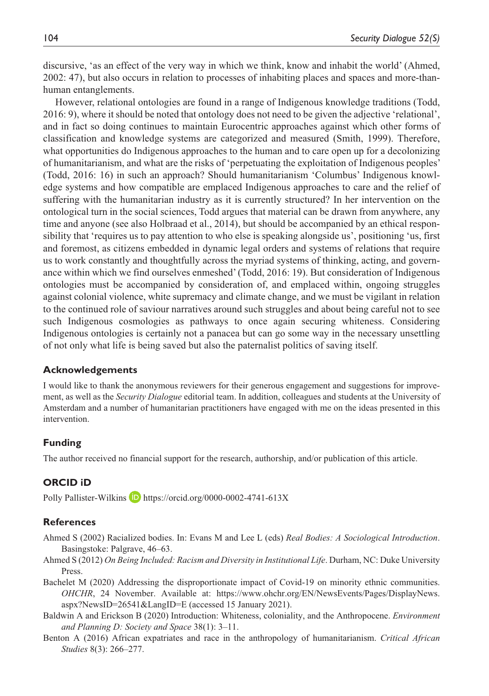discursive, 'as an effect of the very way in which we think, know and inhabit the world' (Ahmed, 2002: 47), but also occurs in relation to processes of inhabiting places and spaces and more-thanhuman entanglements.

However, relational ontologies are found in a range of Indigenous knowledge traditions (Todd, 2016: 9), where it should be noted that ontology does not need to be given the adjective 'relational', and in fact so doing continues to maintain Eurocentric approaches against which other forms of classification and knowledge systems are categorized and measured (Smith, 1999). Therefore, what opportunities do Indigenous approaches to the human and to care open up for a decolonizing of humanitarianism, and what are the risks of 'perpetuating the exploitation of Indigenous peoples' (Todd, 2016: 16) in such an approach? Should humanitarianism 'Columbus' Indigenous knowledge systems and how compatible are emplaced Indigenous approaches to care and the relief of suffering with the humanitarian industry as it is currently structured? In her intervention on the ontological turn in the social sciences, Todd argues that material can be drawn from anywhere, any time and anyone (see also Holbraad et al., 2014), but should be accompanied by an ethical responsibility that 'requires us to pay attention to who else is speaking alongside us', positioning 'us, first and foremost, as citizens embedded in dynamic legal orders and systems of relations that require us to work constantly and thoughtfully across the myriad systems of thinking, acting, and governance within which we find ourselves enmeshed' (Todd, 2016: 19). But consideration of Indigenous ontologies must be accompanied by consideration of, and emplaced within, ongoing struggles against colonial violence, white supremacy and climate change, and we must be vigilant in relation to the continued role of saviour narratives around such struggles and about being careful not to see such Indigenous cosmologies as pathways to once again securing whiteness. Considering Indigenous ontologies is certainly not a panacea but can go some way in the necessary unsettling of not only what life is being saved but also the paternalist politics of saving itself.

#### **Acknowledgements**

I would like to thank the anonymous reviewers for their generous engagement and suggestions for improvement, as well as the *Security Dialogue* editorial team. In addition, colleagues and students at the University of Amsterdam and a number of humanitarian practitioners have engaged with me on the ideas presented in this intervention.

#### **Funding**

The author received no financial support for the research, authorship, and/or publication of this article.

#### **ORCID iD**

Polly Pallister-Wilkins D <https://orcid.org/0000-0002-4741-613X>

#### **References**

- Ahmed S (2002) Racialized bodies. In: Evans M and Lee L (eds) *Real Bodies: A Sociological Introduction*. Basingstoke: Palgrave, 46–63.
- Ahmed S (2012) *On Being Included: Racism and Diversity in Institutional Life*. Durham, NC: Duke University Press.
- Bachelet M (2020) Addressing the disproportionate impact of Covid-19 on minority ethnic communities. *OHCHR*, 24 November. Available at: [https://www.ohchr.org/EN/NewsEvents/Pages/DisplayNews.](https://www.ohchr.org/EN/NewsEvents/Pages/DisplayNews.aspx?NewsID=26541&LangID=E) [aspx?NewsID=26541&LangID=E](https://www.ohchr.org/EN/NewsEvents/Pages/DisplayNews.aspx?NewsID=26541&LangID=E) (accessed 15 January 2021).
- Baldwin A and Erickson B (2020) Introduction: Whiteness, coloniality, and the Anthropocene. *Environment and Planning D: Society and Space* 38(1): 3–11.
- Benton A (2016) African expatriates and race in the anthropology of humanitarianism. *Critical African Studies* 8(3): 266–277.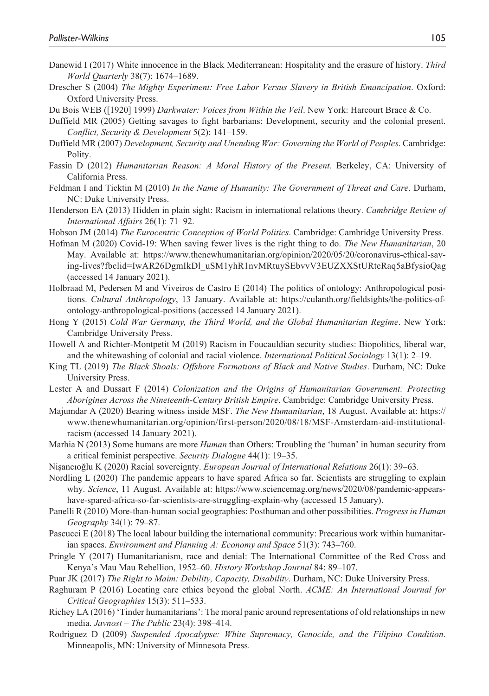- Danewid I (2017) White innocence in the Black Mediterranean: Hospitality and the erasure of history. *Third World Quarterly* 38(7): 1674–1689.
- Drescher S (2004) *The Mighty Experiment: Free Labor Versus Slavery in British Emancipation*. Oxford: Oxford University Press.

Du Bois WEB ([1920] 1999) *Darkwater: Voices from Within the Veil*. New York: Harcourt Brace & Co.

- Duffield MR (2005) Getting savages to fight barbarians: Development, security and the colonial present. *Conflict, Security & Development* 5(2): 141–159.
- Duffield MR (2007) *Development, Security and Unending War: Governing the World of Peoples*. Cambridge: Polity.
- Fassin D (2012) *Humanitarian Reason: A Moral History of the Present*. Berkeley, CA: University of California Press.
- Feldman I and Ticktin M (2010) *In the Name of Humanity: The Government of Threat and Care*. Durham, NC: Duke University Press.
- Henderson EA (2013) Hidden in plain sight: Racism in international relations theory. *Cambridge Review of International Affairs* 26(1): 71–92.
- Hobson JM (2014) *The Eurocentric Conception of World Politics*. Cambridge: Cambridge University Press.
- Hofman M (2020) Covid-19: When saving fewer lives is the right thing to do. *The New Humanitarian*, 20 May. Available at: [https://www.thenewhumanitarian.org/opinion/2020/05/20/coronavirus-ethical-sav](https://www.thenewhumanitarian.org/opinion/2020/05/20/coronavirus-ethical-saving-lives?fbclid=IwAR26DgmIkDl_uSM1yhR1nvMRtuySEbvvV3EUZXXStURteRaq5aBfysioQag)[ing-lives?fbclid=IwAR26DgmIkDl\\_uSM1yhR1nvMRtuySEbvvV3EUZXXStURteRaq5aBfysioQag](https://www.thenewhumanitarian.org/opinion/2020/05/20/coronavirus-ethical-saving-lives?fbclid=IwAR26DgmIkDl_uSM1yhR1nvMRtuySEbvvV3EUZXXStURteRaq5aBfysioQag) (accessed 14 January 2021).
- Holbraad M, Pedersen M and Viveiros de Castro E (2014) The politics of ontology: Anthropological positions. *Cultural Anthropology*, 13 January. Available at: [https://culanth.org/fieldsights/the-politics-of](https://culanth.org/fieldsights/the-politics-of-ontology-anthropological-positions)[ontology-anthropological-positions](https://culanth.org/fieldsights/the-politics-of-ontology-anthropological-positions) (accessed 14 January 2021).
- Hong Y (2015) *Cold War Germany, the Third World, and the Global Humanitarian Regime*. New York: Cambridge University Press.
- Howell A and Richter-Montpetit M (2019) Racism in Foucauldian security studies: Biopolitics, liberal war, and the whitewashing of colonial and racial violence. *International Political Sociology* 13(1): 2–19.
- King TL (2019) *The Black Shoals: Offshore Formations of Black and Native Studies*. Durham, NC: Duke University Press.
- Lester A and Dussart F (2014) *Colonization and the Origins of Humanitarian Government: Protecting Aborigines Across the Nineteenth-Century British Empire*. Cambridge: Cambridge University Press.
- Majumdar A (2020) Bearing witness inside MSF. *The New Humanitarian*, 18 August. Available at: [https://](https://www.thenewhumanitarian.org/opinion/first-person/2020/08/18/MSF-Amsterdam-aid-institutional-racism) [www.thenewhumanitarian.org/opinion/first-person/2020/08/18/MSF-Amsterdam-aid-institutional](https://www.thenewhumanitarian.org/opinion/first-person/2020/08/18/MSF-Amsterdam-aid-institutional-racism)[racism](https://www.thenewhumanitarian.org/opinion/first-person/2020/08/18/MSF-Amsterdam-aid-institutional-racism) (accessed 14 January 2021).
- Marhia N (2013) Some humans are more *Human* than Others: Troubling the 'human' in human security from a critical feminist perspective. *Security Dialogue* 44(1): 19–35.
- Nişancıoğlu K (2020) Racial sovereignty. *European Journal of International Relations* 26(1): 39–63.
- Nordling L (2020) The pandemic appears to have spared Africa so far. Scientists are struggling to explain why. *Science*, 11 August. Available at: [https://www.sciencemag.org/news/2020/08/pandemic-appears](https://www.sciencemag.org/news/2020/08/pandemic-appears-have-spared-africa-so-far-scientists-are-struggling-explain-why)[have-spared-africa-so-far-scientists-are-struggling-explain-why](https://www.sciencemag.org/news/2020/08/pandemic-appears-have-spared-africa-so-far-scientists-are-struggling-explain-why) (accessed 15 January).
- Panelli R (2010) More-than-human social geographies: Posthuman and other possibilities. *Progress in Human Geography* 34(1): 79–87.
- Pascucci E (2018) The local labour building the international community: Precarious work within humanitarian spaces. *Environment and Planning A: Economy and Space* 51(3): 743–760.
- Pringle Y (2017) Humanitarianism, race and denial: The International Committee of the Red Cross and Kenya's Mau Mau Rebellion, 1952–60. *History Workshop Journal* 84: 89–107.
- Puar JK (2017) *The Right to Maim: Debility, Capacity, Disability*. Durham, NC: Duke University Press.
- Raghuram P (2016) Locating care ethics beyond the global North. *ACME: An International Journal for Critical Geographies* 15(3): 511–533.
- Richey LA (2016) 'Tinder humanitarians': The moral panic around representations of old relationships in new media. *Javnost – The Public* 23(4): 398–414.
- Rodriguez D (2009) *Suspended Apocalypse: White Supremacy, Genocide, and the Filipino Condition*. Minneapolis, MN: University of Minnesota Press.